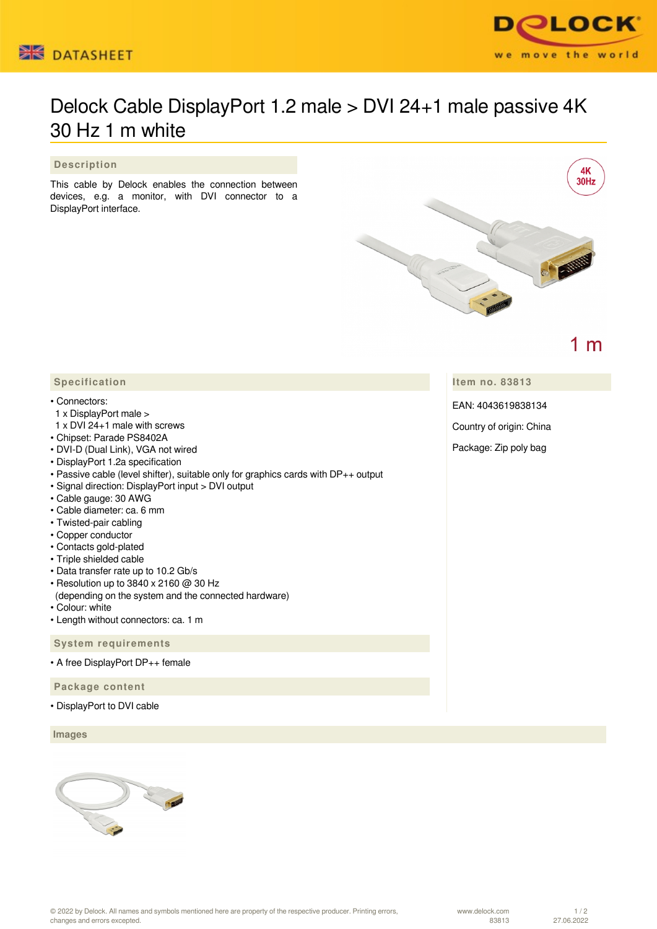



# Delock Cable DisplayPort 1.2 male > DVI 24+1 male passive 4K 30 Hz 1 m white

#### **Description**

This cable by Delock enables the connection between devices, e.g. a monitor, with DVI connector to a DisplayPort interface.



 $1<sub>m</sub>$ 

### **Item no. 83813**

EAN: 4043619838134

Country of origin: China

Package: Zip poly bag

## **Specification**

#### • Connectors:

- 1 x DisplayPort male >
- 1 x DVI 24+1 male with screws
- Chipset: Parade PS8402A
- DVI-D (Dual Link), VGA not wired
- DisplayPort 1.2a specification
- Passive cable (level shifter), suitable only for graphics cards with DP++ output
- Signal direction: DisplayPort input > DVI output
- Cable gauge: 30 AWG
- Cable diameter: ca. 6 mm
- Twisted-pair cabling
- Copper conductor
- Contacts gold-plated
- Triple shielded cable
- Data transfer rate up to 10.2 Gb/s
- Resolution up to 3840 x 2160 @ 30 Hz
- (depending on the system and the connected hardware)
- Colour: white
- Length without connectors: ca. 1 m

 **System requirements**

• A free DisplayPort DP++ female

 **Package content**

• DisplayPort to DVI cable

 **Images**